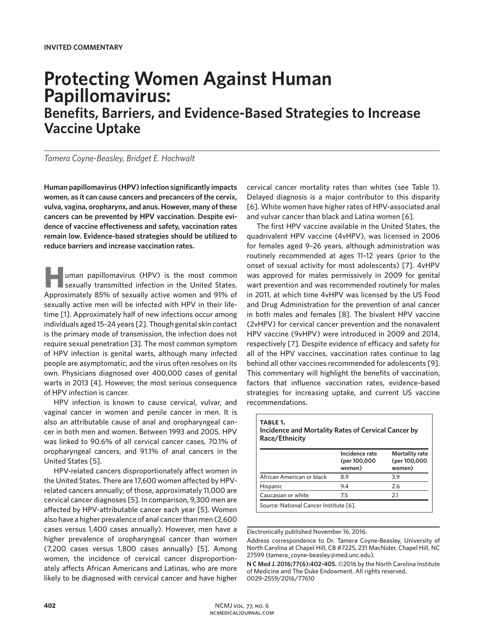# **Protecting Women Against Human Papillomavirus:**

**Benefits, Barriers, and Evidence-Based Strategies to Increase Vaccine Uptake**

*Tamera Coyne-Beasley, Bridget E. Hochwalt*

**Human papillomavirus (HPV) infection significantly impacts women, as it can cause cancers and precancers of the cervix, vulva, vagina, oropharynx, and anus. However, many of these cancers can be prevented by HPV vaccination. Despite evidence of vaccine effectiveness and safety, vaccination rates remain low. Evidence-based strategies should be utilized to reduce barriers and increase vaccination rates.** 

uman papillomavirus (HPV) is the most common sexually transmitted infection in the United States. Approximately 85% of sexually active women and 91% of sexually active men will be infected with HPV in their lifetime [1]. Approximately half of new infections occur among individuals aged 15–24 years [2]. Though genital skin contact is the primary mode of transmission, the infection does not require sexual penetration [3]. The most common symptom of HPV infection is genital warts, although many infected people are asymptomatic, and the virus often resolves on its own. Physicians diagnosed over 400,000 cases of genital warts in 2013 [4]. However, the most serious consequence of HPV infection is cancer.

HPV infection is known to cause cervical, vulvar, and vaginal cancer in women and penile cancer in men. It is also an attributable cause of anal and oropharyngeal cancer in both men and women. Between 1993 and 2005, HPV was linked to 90.6% of all cervical cancer cases, 70.1% of oropharyngeal cancers, and 91.1% of anal cancers in the United States [5].

HPV-related cancers disproportionately affect women in the United States. There are 17,600 women affected by HPVrelated cancers annually; of those, approximately 11,000 are cervical cancer diagnoses [5]. In comparison, 9,300 men are affected by HPV-attributable cancer each year [5]. Women also have a higher prevalence of anal cancer than men (2,600 cases versus 1,400 cases annually). However, men have a higher prevalence of oropharyngeal cancer than women (7,200 cases versus 1,800 cases annually) [5]. Among women, the incidence of cervical cancer disproportionately affects African Americans and Latinas, who are more likely to be diagnosed with cervical cancer and have higher

cervical cancer mortality rates than whites (see Table 1). Delayed diagnosis is a major contributor to this disparity [6]. White women have higher rates of HPV-associated anal and vulvar cancer than black and Latina women [6].

The first HPV vaccine available in the United States, the quadrivalent HPV vaccine (4vHPV), was licensed in 2006 for females aged 9–26 years, although administration was routinely recommended at ages 11–12 years (prior to the onset of sexual activity for most adolescents) [7]. 4vHPV was approved for males permissively in 2009 for genital wart prevention and was recommended routinely for males in 2011, at which time 4vHPV was licensed by the US Food and Drug Administration for the prevention of anal cancer in both males and females [8]. The bivalent HPV vaccine (2vHPV) for cervical cancer prevention and the nonavalent HPV vaccine (9vHPV) were introduced in 2009 and 2014, respectively [7]. Despite evidence of efficacy and safety for all of the HPV vaccines, vaccination rates continue to lag behind all other vaccines recommended for adolescents [9]. This commentary will highlight the benefits of vaccination, factors that influence vaccination rates, evidence-based strategies for increasing uptake, and current US vaccine recommendations.

| <b>TABLE 1.</b><br>Incidence and Mortality Rates of Cervical Cancer by<br>Race/Ethnicity |                                          |                                                 |  |
|------------------------------------------------------------------------------------------|------------------------------------------|-------------------------------------------------|--|
|                                                                                          | Incidence rate<br>(per 100,000<br>women) | <b>Mortality rate</b><br>(per 100,000<br>women) |  |
| African American or black                                                                | 8.9                                      | 3.9                                             |  |
| Hispanic                                                                                 | 9.4                                      | 2.6                                             |  |
| Caucasian or white                                                                       | 7.5                                      | 2.1                                             |  |
| Source: National Cancer Institute [6].                                                   |                                          |                                                 |  |

Electronically published November 16, 2016.

Address correspondence to Dr. Tamera Coyne-Beasley, University of North Carolina at Chapel Hill, CB #7225, 231 MacNider, Chapel Hill, NC 27599 (tamera\_coyne-beasley@med.unc.edu).

**N C Med J. 2016;77(6):402-405.** ©2016 by the North Carolina Institute of Medicine and The Duke Endowment. All rights reserved. 0029-2559/2016/77610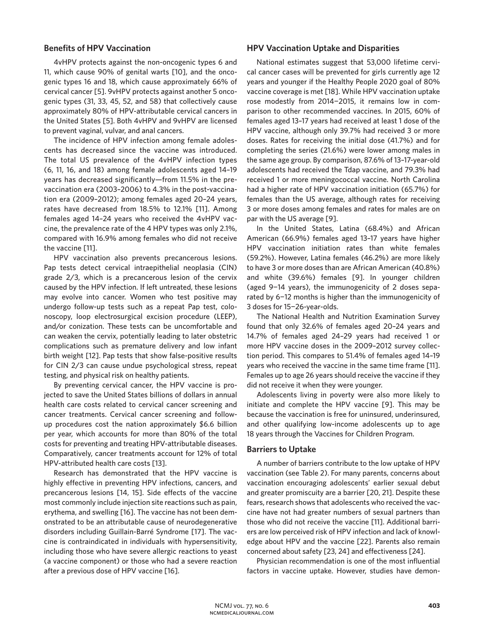#### **Benefits of HPV Vaccination**

4vHPV protects against the non-oncogenic types 6 and 11, which cause 90% of genital warts [10], and the oncogenic types 16 and 18, which cause approximately 66% of cervical cancer [5]. 9vHPV protects against another 5 oncogenic types (31, 33, 45, 52, and 58) that collectively cause approximately 80% of HPV-attributable cervical cancers in the United States [5]. Both 4vHPV and 9vHPV are licensed to prevent vaginal, vulvar, and anal cancers.

The incidence of HPV infection among female adolescents has decreased since the vaccine was introduced. The total US prevalence of the 4vHPV infection types (6, 11, 16, and 18) among female adolescents aged 14–19 years has decreased significantly—from 11.5% in the prevaccination era (2003–2006) to 4.3% in the post-vaccination era (2009–2012); among females aged 20–24 years, rates have decreased from 18.5% to 12.1% [11]. Among females aged 14–24 years who received the 4vHPV vaccine, the prevalence rate of the 4 HPV types was only 2.1%, compared with 16.9% among females who did not receive the vaccine [11].

HPV vaccination also prevents precancerous lesions. Pap tests detect cervical intraepithelial neoplasia (CIN) grade 2/3, which is a precancerous lesion of the cervix caused by the HPV infection. If left untreated, these lesions may evolve into cancer. Women who test positive may undergo follow-up tests such as a repeat Pap test, colonoscopy, loop electrosurgical excision procedure (LEEP), and/or conization. These tests can be uncomfortable and can weaken the cervix, potentially leading to later obstetric complications such as premature delivery and low infant birth weight [12]. Pap tests that show false-positive results for CIN 2/3 can cause undue psychological stress, repeat testing, and physical risk on healthy patients.

By preventing cervical cancer, the HPV vaccine is projected to save the United States billions of dollars in annual health care costs related to cervical cancer screening and cancer treatments. Cervical cancer screening and followup procedures cost the nation approximately \$6.6 billion per year, which accounts for more than 80% of the total costs for preventing and treating HPV-attributable diseases. Comparatively, cancer treatments account for 12% of total HPV-attributed health care costs [13].

Research has demonstrated that the HPV vaccine is highly effective in preventing HPV infections, cancers, and precancerous lesions [14, 15]. Side effects of the vaccine most commonly include injection site reactions such as pain, erythema, and swelling [16]. The vaccine has not been demonstrated to be an attributable cause of neurodegenerative disorders including Guillain-Barré Syndrome [17]. The vaccine is contraindicated in individuals with hypersensitivity, including those who have severe allergic reactions to yeast (a vaccine component) or those who had a severe reaction after a previous dose of HPV vaccine [16].

### **HPV Vaccination Uptake and Disparities**

National estimates suggest that 53,000 lifetime cervical cancer cases will be prevented for girls currently age 12 years and younger if the Healthy People 2020 goal of 80% vaccine coverage is met [18]. While HPV vaccination uptake rose modestly from 2014−2015, it remains low in comparison to other recommended vaccines. In 2015, 60% of females aged 13–17 years had received at least 1 dose of the HPV vaccine, although only 39.7% had received 3 or more doses. Rates for receiving the initial dose (41.7%) and for completing the series (21.6%) were lower among males in the same age group. By comparison, 87.6% of 13–17-year-old adolescents had received the Tdap vaccine, and 79.3% had received 1 or more meningococcal vaccine. North Carolina had a higher rate of HPV vaccination initiation (65.7%) for females than the US average, although rates for receiving 3 or more doses among females and rates for males are on par with the US average [9].

In the United States, Latina (68.4%) and African American (66.9%) females aged 13–17 years have higher HPV vaccination initiation rates than white females (59.2%). However, Latina females (46.2%) are more likely to have 3 or more doses than are African American (40.8%) and white (39.6%) females [9]. In younger children (aged 9−14 years), the immunogenicity of 2 doses separated by 6−12 months is higher than the immunogenicity of 3 doses for 15−26-year-olds.

The National Health and Nutrition Examination Survey found that only 32.6% of females aged 20–24 years and 14.7% of females aged 24–29 years had received 1 or more HPV vaccine doses in the 2009–2012 survey collection period. This compares to 51.4% of females aged 14–19 years who received the vaccine in the same time frame [11]. Females up to age 26 years should receive the vaccine if they did not receive it when they were younger.

Adolescents living in poverty were also more likely to initiate and complete the HPV vaccine [9]. This may be because the vaccination is free for uninsured, underinsured, and other qualifying low-income adolescents up to age 18 years through the Vaccines for Children Program.

#### **Barriers to Uptake**

A number of barriers contribute to the low uptake of HPV vaccination (see Table 2). For many parents, concerns about vaccination encouraging adolescents' earlier sexual debut and greater promiscuity are a barrier [20, 21]. Despite these fears, research shows that adolescents who received the vaccine have not had greater numbers of sexual partners than those who did not receive the vaccine [11]. Additional barriers are low perceived risk of HPV infection and lack of knowledge about HPV and the vaccine [22]. Parents also remain concerned about safety [23, 24] and effectiveness [24].

Physician recommendation is one of the most influential factors in vaccine uptake. However, studies have demon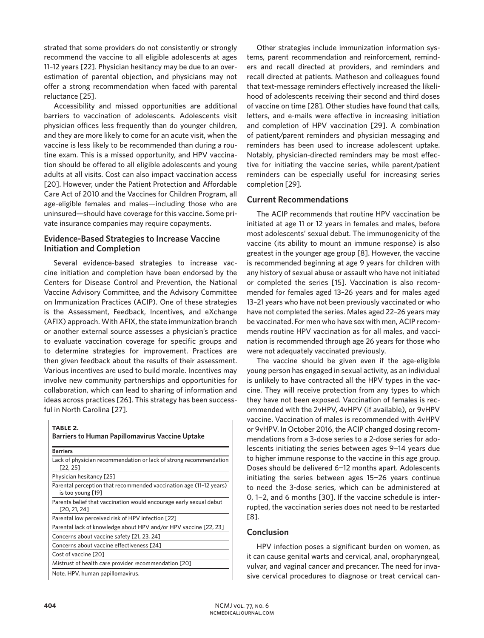strated that some providers do not consistently or strongly recommend the vaccine to all eligible adolescents at ages 11–12 years [22]. Physician hesitancy may be due to an overestimation of parental objection, and physicians may not offer a strong recommendation when faced with parental reluctance [25].

Accessibility and missed opportunities are additional barriers to vaccination of adolescents. Adolescents visit physician offices less frequently than do younger children, and they are more likely to come for an acute visit, when the vaccine is less likely to be recommended than during a routine exam. This is a missed opportunity, and HPV vaccination should be offered to all eligible adolescents and young adults at all visits. Cost can also impact vaccination access [20]. However, under the Patient Protection and Affordable Care Act of 2010 and the Vaccines for Children Program, all age-eligible females and males—including those who are uninsured—should have coverage for this vaccine. Some private insurance companies may require copayments.

# **Evidence-Based Strategies to Increase Vaccine Initiation and Completion**

Several evidence-based strategies to increase vaccine initiation and completion have been endorsed by the Centers for Disease Control and Prevention, the National Vaccine Advisory Committee, and the Advisory Committee on Immunization Practices (ACIP). One of these strategies is the Assessment, Feedback, Incentives, and eXchange (AFIX) approach. With AFIX, the state immunization branch or another external source assesses a physician's practice to evaluate vaccination coverage for specific groups and to determine strategies for improvement. Practices are then given feedback about the results of their assessment. Various incentives are used to build morale. Incentives may involve new community partnerships and opportunities for collaboration, which can lead to sharing of information and ideas across practices [26]. This strategy has been successful in North Carolina [27].

| TABLE 2.<br><b>Barriers to Human Papillomavirus Vaccine Uptake</b>                      |  |  |
|-----------------------------------------------------------------------------------------|--|--|
| <b>Barriers</b>                                                                         |  |  |
| Lack of physician recommendation or lack of strong recommendation<br>[22, 25]           |  |  |
| Physician hesitancy [25]                                                                |  |  |
| Parental perception that recommended vaccination age (11-12 years)<br>is too young [19] |  |  |
| Parents belief that vaccination would encourage early sexual debut<br>[20, 21, 24]      |  |  |
| Parental low perceived risk of HPV infection [22]                                       |  |  |
| Parental lack of knowledge about HPV and/or HPV vaccine [22, 23]                        |  |  |
| Concerns about vaccine safety [21, 23, 24]                                              |  |  |
| Concerns about vaccine effectiveness [24]                                               |  |  |
| Cost of vaccine [20]                                                                    |  |  |
| Mistrust of health care provider recommendation [20]                                    |  |  |
| Note. HPV, human papillomavirus.                                                        |  |  |

Other strategies include immunization information systems, parent recommendation and reinforcement, reminders and recall directed at providers, and reminders and recall directed at patients. Matheson and colleagues found that text-message reminders effectively increased the likelihood of adolescents receiving their second and third doses of vaccine on time [28]. Other studies have found that calls, letters, and e-mails were effective in increasing initiation and completion of HPV vaccination [29]. A combination of patient/parent reminders and physician messaging and reminders has been used to increase adolescent uptake. Notably, physician-directed reminders may be most effective for initiating the vaccine series, while parent/patient reminders can be especially useful for increasing series completion [29].

# **Current Recommendations**

The ACIP recommends that routine HPV vaccination be initiated at age 11 or 12 years in females and males, before most adolescents' sexual debut. The immunogenicity of the vaccine (its ability to mount an immune response) is also greatest in the younger age group [8]. However, the vaccine is recommended beginning at age 9 years for children with any history of sexual abuse or assault who have not initiated or completed the series [15]. Vaccination is also recommended for females aged 13–26 years and for males aged 13–21 years who have not been previously vaccinated or who have not completed the series. Males aged 22–26 years may be vaccinated. For men who have sex with men, ACIP recommends routine HPV vaccination as for all males, and vaccination is recommended through age 26 years for those who were not adequately vaccinated previously.

The vaccine should be given even if the age-eligible young person has engaged in sexual activity, as an individual is unlikely to have contracted all the HPV types in the vaccine. They will receive protection from any types to which they have not been exposed. Vaccination of females is recommended with the 2vHPV, 4vHPV (if available), or 9vHPV vaccine. Vaccination of males is recommended with 4vHPV or 9vHPV. In October 2016, the ACIP changed dosing recommendations from a 3-dose series to a 2-dose series for adolescents initiating the series between ages 9−14 years due to higher immune response to the vaccine in this age group. Doses should be delivered 6−12 months apart. Adolescents initiating the series between ages 15−26 years continue to need the 3-dose series, which can be administered at 0, 1−2, and 6 months [30]. If the vaccine schedule is interrupted, the vaccination series does not need to be restarted [8].

# **Conclusion**

HPV infection poses a significant burden on women, as it can cause genital warts and cervical, anal, oropharyngeal, vulvar, and vaginal cancer and precancer. The need for invasive cervical procedures to diagnose or treat cervical can